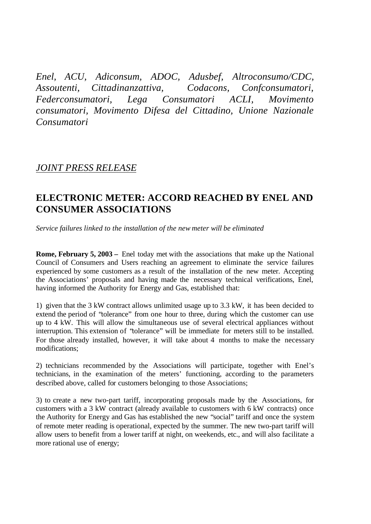*Enel, ACU, Adiconsum, ADOC, Adusbef, Altroconsumo/CDC, Assoutenti, Cittadinanzattiva, Codacons, Confconsumatori, Federconsumatori, Lega Consumatori ACLI, Movimento consumatori, Movimento Difesa del Cittadino, Unione Nazionale Consumatori*

## *JOINT PRESS RELEASE*

## **ELECTRONIC METER: ACCORD REACHED BY ENEL AND CONSUMER ASSOCIATIONS**

*Service failures linked to the installation of the new meter will be eliminated*

**Rome, February 5, 2003 –** Enel today met with the associations that make up the National Council of Consumers and Users reaching an agreement to eliminate the service failures experienced by some customers as a result of the installation of the new meter. Accepting the Associations' proposals and having made the necessary technical verifications, Enel, having informed the Authority for Energy and Gas, established that:

1) given that the 3 kW contract allows unlimited usage up to 3.3 kW, it has been decided to extend the period of "tolerance" from one hour to three, during which the customer can use up to 4 kW. This will allow the simultaneous use of several electrical appliances without interruption. This extension of "tolerance" will be immediate for meters still to be installed. For those already installed, however, it will take about 4 months to make the necessary modifications;

2) technicians recommended by the Associations will participate, together with Enel's technicians, in the examination of the meters' functioning, according to the parameters described above, called for customers belonging to those Associations;

3) to create a new two-part tariff, incorporating proposals made by the Associations, for customers with a 3 kW contract (already available to customers with 6 kW contracts) once the Authority for Energy and Gas has established the new "social" tariff and once the system of remote meter reading is operational, expected by the summer. The new two-part tariff will allow users to benefit from a lower tariff at night, on weekends, etc., and will also facilitate a more rational use of energy;